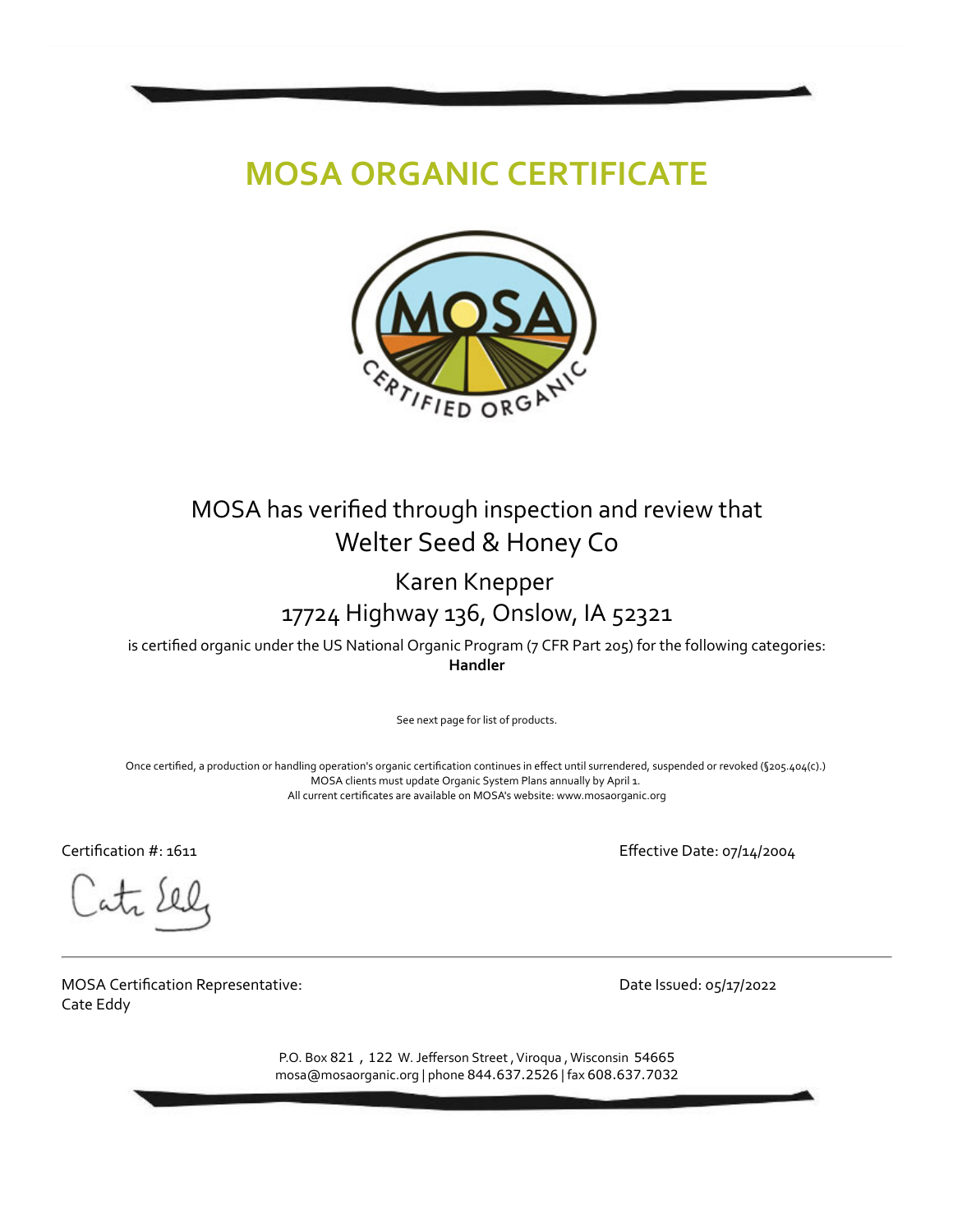# **MOSA ORGANIC CERTIFICATE**



## MOSA has verified through inspection and review that Welter Seed & Honey Co

### Karen Knepper 17724 Highway 136, Onslow, IA 52321

is certified organic under the US National Organic Program (7 CFR Part 205) for the following categories: **Handler**

See next page for list of products.

Once certified, a production or handling operation's organic certification continues in effect until surrendered, suspended or revoked (§205.404(c).) MOSA clients must update Organic System Plans annually by April 1. All current certificates are available on MOSA's website: www.mosaorganic.org

Certification #: 1611 Effective Date: 07/14/2004

MOSA Certification Representative: Cate Eddy

Date Issued: 05/17/2022

P.O. Box 821, 122 W. Jefferson Street, Viroqua, Wisconsin 54665 mosa@mosaorganic.org | phone 844.637.2526 | fax 608.637.7032